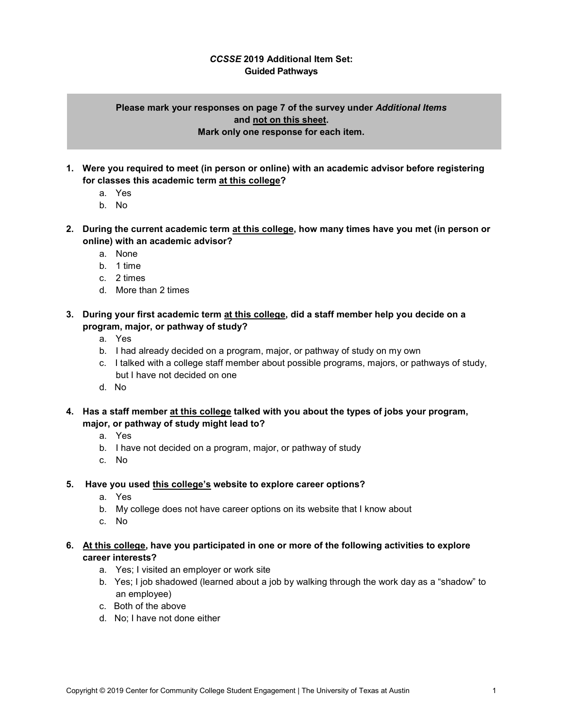## *CCSSE* **2019 Additional Item Set: Guided Pathways**

## **Please mark your responses on page 7 of the survey under** *Additional Items* **and not on this sheet. Mark only one response for each item.**

- **1. Were you required to meet (in person or online) with an academic advisor before registering for classes this academic term at this college?**
	- a. Yes
	- b. No
- **2. During the current academic term at this college, how many times have you met (in person or online) with an academic advisor?**
	- a. None
	- b. 1 time
	- c. 2 times
	- d. More than 2 times
- **3. During your first academic term at this college, did a staff member help you decide on a program, major, or pathway of study?**
	- a. Yes
	- b. I had already decided on a program, major, or pathway of study on my own
	- c. I talked with a college staff member about possible programs, majors, or pathways of study, but I have not decided on one
	- d. No
- **4. Has a staff member at this college talked with you about the types of jobs your program, major, or pathway of study might lead to?**
	- a. Yes
	- b. I have not decided on a program, major, or pathway of study
	- c. No
- **5. Have you used this college's website to explore career options?**
	- a. Yes
	- b. My college does not have career options on its website that I know about
	- c. No
- **6. At this college, have you participated in one or more of the following activities to explore career interests?**
	- a. Yes; I visited an employer or work site
	- b. Yes; I job shadowed (learned about a job by walking through the work day as a "shadow" to an employee)
	- c. Both of the above
	- d. No; I have not done either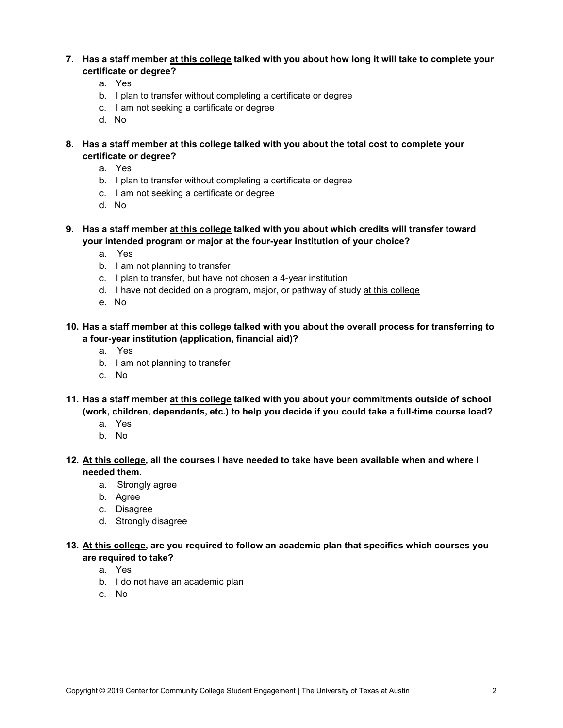- **7. Has a staff member at this college talked with you about how long it will take to complete your certificate or degree?**
	- a. Yes
	- b. I plan to transfer without completing a certificate or degree
	- c. I am not seeking a certificate or degree
	- d. No
- **8. Has a staff member at this college talked with you about the total cost to complete your certificate or degree?**
	- a. Yes
	- b. I plan to transfer without completing a certificate or degree
	- c. I am not seeking a certificate or degree
	- d. No
- **9. Has a staff member at this college talked with you about which credits will transfer toward your intended program or major at the four-year institution of your choice?**
	- a. Yes
	- b. I am not planning to transfer
	- c. I plan to transfer, but have not chosen a 4-year institution
	- d. I have not decided on a program, major, or pathway of study at this college
	- e. No
- **10. Has a staff member at this college talked with you about the overall process for transferring to a four-year institution (application, financial aid)?**
	- a. Yes
	- b. I am not planning to transfer
	- c. No
- **11. Has a staff member at this college talked with you about your commitments outside of school (work, children, dependents, etc.) to help you decide if you could take a full-time course load?**
	- a. Yes
	- b. No
- **12. At this college, all the courses I have needed to take have been available when and where I needed them.**
	- a. Strongly agree
	- b. Agree
	- c. Disagree
	- d. Strongly disagree
- **13. At this college, are you required to follow an academic plan that specifies which courses you are required to take?**
	- a. Yes
	- b. I do not have an academic plan
	- c. No